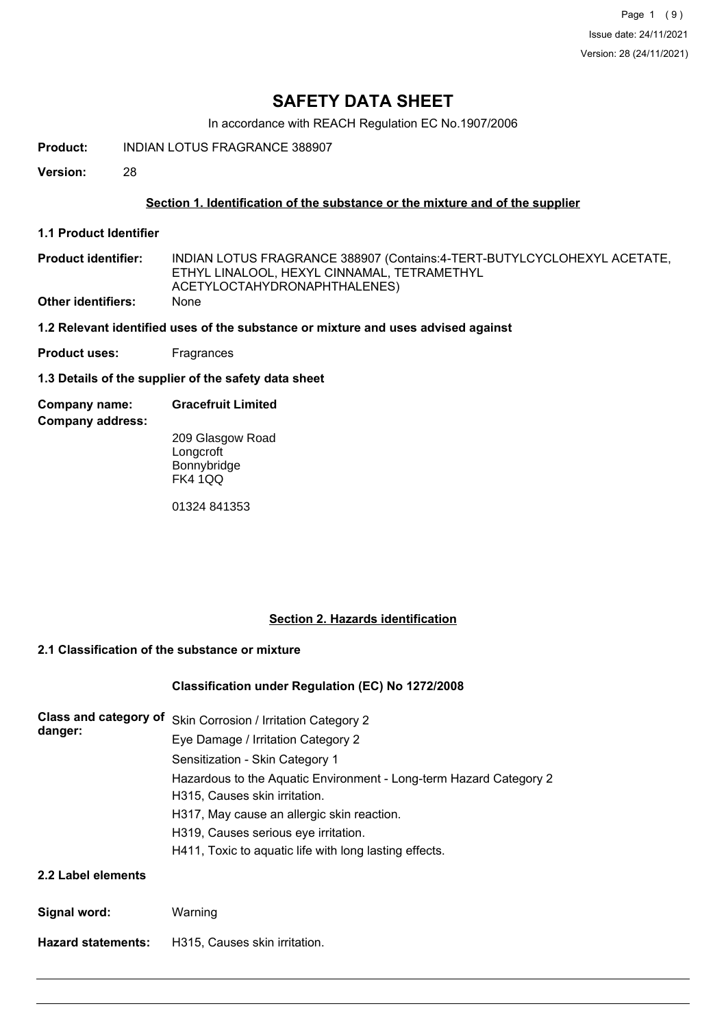Page 1 (9) Issue date: 24/11/2021 Version: 28 (24/11/2021)

## **SAFETY DATA SHEET**

In accordance with REACH Regulation EC No.1907/2006

**Product:** INDIAN LOTUS FRAGRANCE 388907

**Version:** 28

## **Section 1. Identification of the substance or the mixture and of the supplier**

**1.1 Product Identifier**

| <b>Product identifier:</b> | INDIAN LOTUS FRAGRANCE 388907 (Contains:4-TERT-BUTYLCYCLOHEXYL ACETATE, |
|----------------------------|-------------------------------------------------------------------------|
|                            | ETHYL LINALOOL. HEXYL CINNAMAL. TETRAMETHYL                             |
|                            | ACETYLOCTAHYDRONAPHTHALENES)                                            |
| <b>Other identifiers:</b>  | <b>None</b>                                                             |

### **1.2 Relevant identified uses of the substance or mixture and uses advised against**

**Product uses:** Fragrances

**1.3 Details of the supplier of the safety data sheet**

**Company name: Gracefruit Limited**

**Company address:**

209 Glasgow Road **Longcroft Bonnybridge** FK4 1QQ

01324 841353

## **Section 2. Hazards identification**

## **2.1 Classification of the substance or mixture**

### **Classification under Regulation (EC) No 1272/2008**

| Class and category of<br>danger: | Skin Corrosion / Irritation Category 2<br>Eye Damage / Irritation Category 2       |  |  |
|----------------------------------|------------------------------------------------------------------------------------|--|--|
|                                  | Sensitization - Skin Category 1                                                    |  |  |
|                                  | Hazardous to the Aquatic Environment - Long-term Hazard Category 2                 |  |  |
|                                  | H315, Causes skin irritation.                                                      |  |  |
|                                  | H317, May cause an allergic skin reaction.<br>H319, Causes serious eye irritation. |  |  |
|                                  |                                                                                    |  |  |
|                                  | H411, Toxic to aquatic life with long lasting effects.                             |  |  |
| 2.2 Label elements               |                                                                                    |  |  |
| Signal word:                     | Warning                                                                            |  |  |
| <b>Hazard statements:</b>        | H315. Causes skin irritation.                                                      |  |  |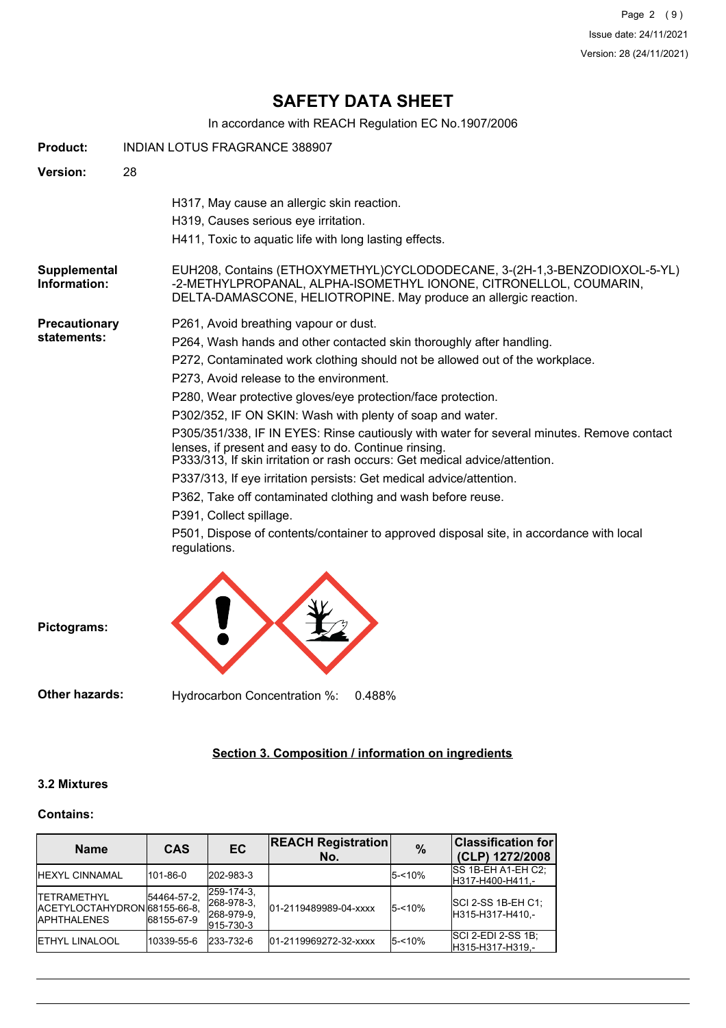Page 2 (9) Issue date: 24/11/2021 Version: 28 (24/11/2021)

# **SAFETY DATA SHEET**

In accordance with REACH Regulation EC No.1907/2006

| <b>Product:</b>              | <b>INDIAN LOTUS FRAGRANCE 388907</b>                                                                                                                                                                                                                                                                                                                                                                                                                                                                                                                                                                                                                                                                                                                                                                                                                                                 |
|------------------------------|--------------------------------------------------------------------------------------------------------------------------------------------------------------------------------------------------------------------------------------------------------------------------------------------------------------------------------------------------------------------------------------------------------------------------------------------------------------------------------------------------------------------------------------------------------------------------------------------------------------------------------------------------------------------------------------------------------------------------------------------------------------------------------------------------------------------------------------------------------------------------------------|
| <b>Version:</b>              | 28                                                                                                                                                                                                                                                                                                                                                                                                                                                                                                                                                                                                                                                                                                                                                                                                                                                                                   |
|                              | H317, May cause an allergic skin reaction.<br>H319, Causes serious eye irritation.<br>H411, Toxic to aquatic life with long lasting effects.                                                                                                                                                                                                                                                                                                                                                                                                                                                                                                                                                                                                                                                                                                                                         |
| Supplemental<br>Information: | EUH208, Contains (ETHOXYMETHYL)CYCLODODECANE, 3-(2H-1,3-BENZODIOXOL-5-YL)<br>-2-METHYLPROPANAL, ALPHA-ISOMETHYL IONONE, CITRONELLOL, COUMARIN,<br>DELTA-DAMASCONE, HELIOTROPINE. May produce an allergic reaction.                                                                                                                                                                                                                                                                                                                                                                                                                                                                                                                                                                                                                                                                   |
| Precautionary<br>statements: | P261, Avoid breathing vapour or dust.<br>P264, Wash hands and other contacted skin thoroughly after handling.<br>P272, Contaminated work clothing should not be allowed out of the workplace.<br>P273, Avoid release to the environment.<br>P280, Wear protective gloves/eye protection/face protection.<br>P302/352, IF ON SKIN: Wash with plenty of soap and water.<br>P305/351/338, IF IN EYES: Rinse cautiously with water for several minutes. Remove contact<br>lenses, if present and easy to do. Continue rinsing.<br>P333/313, If skin irritation or rash occurs: Get medical advice/attention.<br>P337/313, If eye irritation persists: Get medical advice/attention.<br>P362, Take off contaminated clothing and wash before reuse.<br>P391, Collect spillage.<br>P501, Dispose of contents/container to approved disposal site, in accordance with local<br>regulations. |
| Pictograms:                  |                                                                                                                                                                                                                                                                                                                                                                                                                                                                                                                                                                                                                                                                                                                                                                                                                                                                                      |

**Other hazards:** Hydrocarbon Concentration %: 0.488%

## **Section 3. Composition / information on ingredients**

## **3.2 Mixtures**

### **Contains:**

| <b>Name</b>                                                                 | <b>CAS</b>                | <b>EC</b>                                           | <b>REACH Registration</b><br>No. | $\frac{0}{0}$ | <b>Classification for</b><br>(CLP) 1272/2008  |
|-----------------------------------------------------------------------------|---------------------------|-----------------------------------------------------|----------------------------------|---------------|-----------------------------------------------|
| <b>HEXYL CINNAMAL</b>                                                       | 101-86-0                  | 202-983-3                                           |                                  | $5 - 10%$     | ISS 1B-EH A1-EH C2:<br>H317-H400-H411.-       |
| <b>ITETRAMETHYL</b><br>IACETYLOCTAHYDRON 68155-66-8.<br><b>IAPHTHALENES</b> | 54464-57-2.<br>68155-67-9 | 259-174-3.<br>268-978-3.<br>268-979-9.<br>915-730-3 | 01-2119489989-04-xxxx            | 5-<10%        | <b>SCI 2-SS 1B-EH C1:</b><br>H315-H317-H410.- |
| <b>IETHYL LINALOOL</b>                                                      | 10339-55-6                | 233-732-6                                           | 01-2119969272-32-xxxx            | $5 - 10%$     | <b>SCI 2-EDI 2-SS 1B:</b><br>H315-H317-H319.- |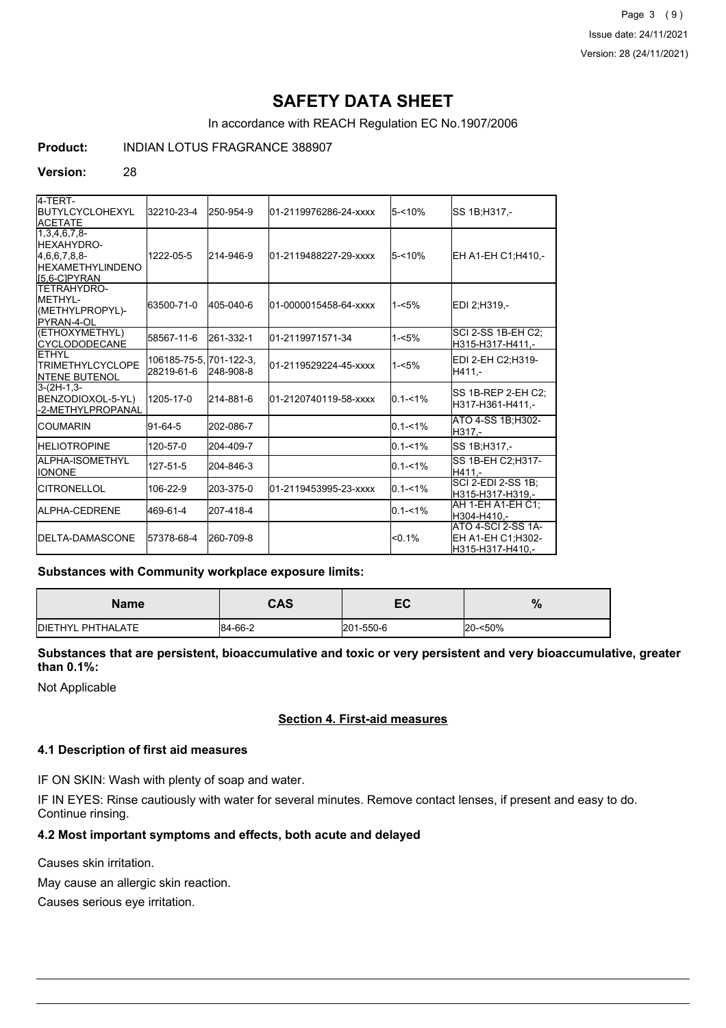Page 3 (9) Issue date: 24/11/2021 Version: 28 (24/11/2021)

# **SAFETY DATA SHEET**

In accordance with REACH Regulation EC No.1907/2006

## **Product:** INDIAN LOTUS FRAGRANCE 388907

#### **Version:** 28

| 4-TERT-<br><b>IBUTYLCYCLOHEXYL</b><br><b>ACETATE</b>                                              | 32210-23-4                            | 250-954-9 | 01-2119976286-24-xxxx | 5-<10%      | SS 1B;H317,-                                                |
|---------------------------------------------------------------------------------------------------|---------------------------------------|-----------|-----------------------|-------------|-------------------------------------------------------------|
| $1,3,4,6,7,8-$<br><b>I</b> HEXAHYDRO-<br>[4,6,6,7,8,8]<br><b>HEXAMETHYLINDENO</b><br>IS.6-CIPYRAN | 1222-05-5                             | 214-946-9 | 01-2119488227-29-xxxx | $5 - 10%$   | EH A1-EH C1;H410,-                                          |
| <b>ITETRAHYDRO-</b><br>IMFTHYI-<br>(METHYLPROPYL)-<br><b>IPYRAN-4-OL</b>                          | 63500-71-0                            | 405-040-6 | 01-0000015458-64-xxxx | $1 - 5%$    | EDI 2:H319.-                                                |
| (ETHOXYMETHYL)<br><b>CYCLODODECANE</b>                                                            | 58567-11-6                            | 261-332-1 | 01-2119971571-34      | $1 - 5%$    | SCI 2-SS 1B-EH C2;<br>H315-H317-H411.-                      |
| <b>ETHYL</b><br><b>ITRIMETHYLCYCLOPE</b><br><b>INTENE BUTENOL</b>                                 | 106185-75-5. 701-122-3.<br>28219-61-6 | 248-908-8 | 01-2119529224-45-xxxx | $1 - 5%$    | EDI 2-EH C2:H319-<br>H411.-                                 |
| $3-(2H-1,3-$<br>BENZODIOXOL-5-YL)<br>-2-METHYLPROPANAL                                            | 1205-17-0                             | 214-881-6 | 01-2120740119-58-xxxx | $0.1 - 1\%$ | SS 1B-REP 2-EH C2;<br>H317-H361-H411.-                      |
| <b>ICOUMARIN</b>                                                                                  | 91-64-5                               | 202-086-7 |                       | $0.1 - 1\%$ | ATO 4-SS 1B; H302-<br>H317.-                                |
| <b>HELIOTROPINE</b>                                                                               | 120-57-0                              | 204-409-7 |                       | $0.1 - 1\%$ | SS 1B;H317,-                                                |
| <b>I</b> ALPHA-ISOMETHYL<br><b>IIONONE</b>                                                        | 127-51-5                              | 204-846-3 |                       | $0.1 - 1\%$ | SS 1B-EH C2:H317-<br>H411.-                                 |
| <b>ICITRONELLOL</b>                                                                               | 106-22-9                              | 203-375-0 | 01-2119453995-23-xxxx | $0.1 - 1\%$ | <b>SCI 2-EDI 2-SS 1B;</b><br>H315-H317-H319.-               |
| ALPHA-CEDRENE                                                                                     | 469-61-4                              | 207-418-4 |                       | $0.1 - 1\%$ | AH 1-EH A1-EH C1;<br>H304-H410.-                            |
| <b>IDELTA-DAMASCONE</b>                                                                           | 57378-68-4                            | 260-709-8 |                       | $< 0.1\%$   | ATO 4-SCI 2-SS 1A-<br>EH A1-EH C1:H302-<br>H315-H317-H410,- |

#### **Substances with Community workplace exposure limits:**

| <b>Name</b>               | CAS     | — с<br>cu, | %       |
|---------------------------|---------|------------|---------|
| <b>IDIETHYL PHTHALATE</b> | 84-66-2 | 201-550-6  | 20-<50% |

**Substances that are persistent, bioaccumulative and toxic or very persistent and very bioaccumulative, greater than 0.1%:**

Not Applicable

### **Section 4. First-aid measures**

#### **4.1 Description of first aid measures**

IF ON SKIN: Wash with plenty of soap and water.

IF IN EYES: Rinse cautiously with water for several minutes. Remove contact lenses, if present and easy to do. Continue rinsing.

## **4.2 Most important symptoms and effects, both acute and delayed**

Causes skin irritation.

May cause an allergic skin reaction.

Causes serious eye irritation.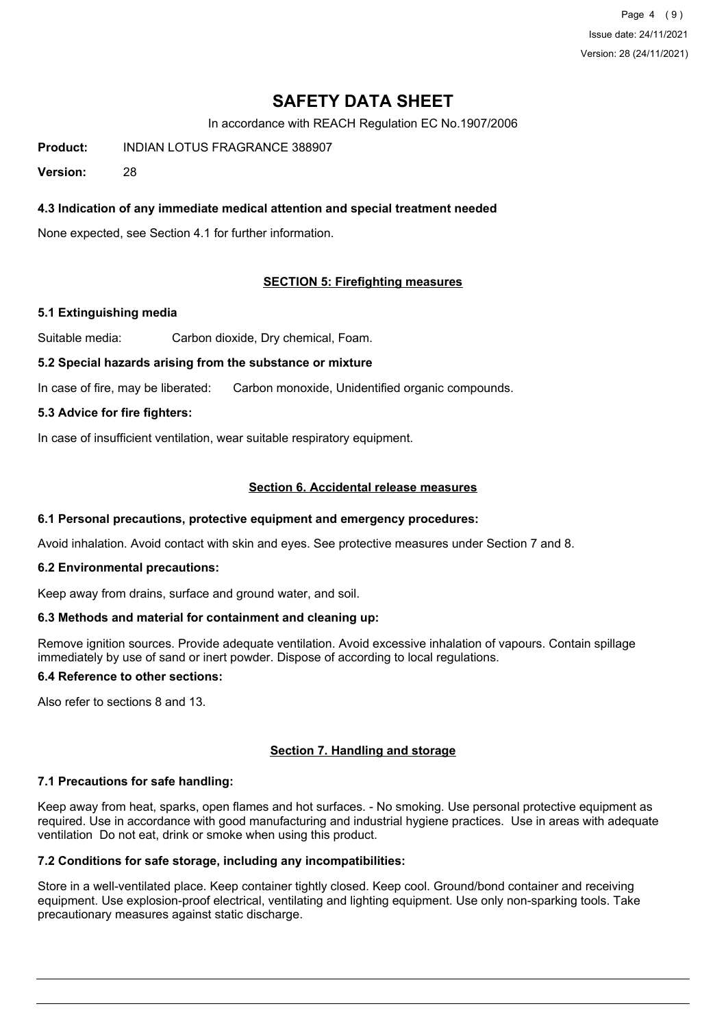Page 4 (9) Issue date: 24/11/2021 Version: 28 (24/11/2021)

# **SAFETY DATA SHEET**

In accordance with REACH Regulation EC No.1907/2006

**Product:** INDIAN LOTUS FRAGRANCE 388907

**Version:** 28

## **4.3 Indication of any immediate medical attention and special treatment needed**

None expected, see Section 4.1 for further information.

### **SECTION 5: Firefighting measures**

#### **5.1 Extinguishing media**

Suitable media: Carbon dioxide, Dry chemical, Foam.

#### **5.2 Special hazards arising from the substance or mixture**

In case of fire, may be liberated: Carbon monoxide, Unidentified organic compounds.

#### **5.3 Advice for fire fighters:**

In case of insufficient ventilation, wear suitable respiratory equipment.

### **Section 6. Accidental release measures**

#### **6.1 Personal precautions, protective equipment and emergency procedures:**

Avoid inhalation. Avoid contact with skin and eyes. See protective measures under Section 7 and 8.

#### **6.2 Environmental precautions:**

Keep away from drains, surface and ground water, and soil.

#### **6.3 Methods and material for containment and cleaning up:**

Remove ignition sources. Provide adequate ventilation. Avoid excessive inhalation of vapours. Contain spillage immediately by use of sand or inert powder. Dispose of according to local regulations.

## **6.4 Reference to other sections:**

Also refer to sections 8 and 13.

### **Section 7. Handling and storage**

### **7.1 Precautions for safe handling:**

Keep away from heat, sparks, open flames and hot surfaces. - No smoking. Use personal protective equipment as required. Use in accordance with good manufacturing and industrial hygiene practices. Use in areas with adequate ventilation Do not eat, drink or smoke when using this product.

## **7.2 Conditions for safe storage, including any incompatibilities:**

Store in a well-ventilated place. Keep container tightly closed. Keep cool. Ground/bond container and receiving equipment. Use explosion-proof electrical, ventilating and lighting equipment. Use only non-sparking tools. Take precautionary measures against static discharge.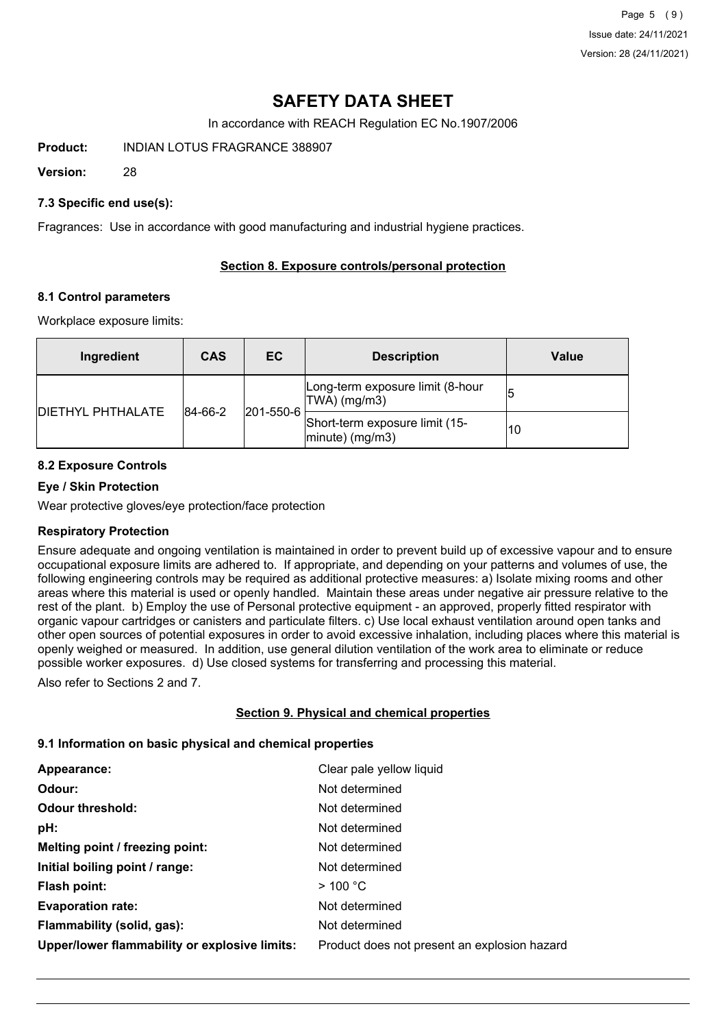Page 5 (9) Issue date: 24/11/2021 Version: 28 (24/11/2021)

# **SAFETY DATA SHEET**

In accordance with REACH Regulation EC No.1907/2006

**Product:** INDIAN LOTUS FRAGRANCE 388907

**Version:** 28

### **7.3 Specific end use(s):**

Fragrances: Use in accordance with good manufacturing and industrial hygiene practices.

## **Section 8. Exposure controls/personal protection**

### **8.1 Control parameters**

Workplace exposure limits:

| Ingredient               | <b>CAS</b> | EC.               | <b>Description</b>                                       | Value |
|--------------------------|------------|-------------------|----------------------------------------------------------|-------|
| <b>DIETHYL PHTHALATE</b> | 84-66-2    | $ 201 - 550 - 6 $ | Long-term exposure limit (8-hour<br>TWA) (mg/m3)         |       |
|                          |            |                   | Short-term exposure limit (15-<br>$ $ minute $ $ (mg/m3) | 10    |

## **8.2 Exposure Controls**

### **Eye / Skin Protection**

Wear protective gloves/eye protection/face protection

### **Respiratory Protection**

Ensure adequate and ongoing ventilation is maintained in order to prevent build up of excessive vapour and to ensure occupational exposure limits are adhered to. If appropriate, and depending on your patterns and volumes of use, the following engineering controls may be required as additional protective measures: a) Isolate mixing rooms and other areas where this material is used or openly handled. Maintain these areas under negative air pressure relative to the rest of the plant. b) Employ the use of Personal protective equipment - an approved, properly fitted respirator with organic vapour cartridges or canisters and particulate filters. c) Use local exhaust ventilation around open tanks and other open sources of potential exposures in order to avoid excessive inhalation, including places where this material is openly weighed or measured. In addition, use general dilution ventilation of the work area to eliminate or reduce possible worker exposures. d) Use closed systems for transferring and processing this material.

Also refer to Sections 2 and 7.

### **Section 9. Physical and chemical properties**

### **9.1 Information on basic physical and chemical properties**

| Appearance:                                   | Clear pale yellow liquid                     |
|-----------------------------------------------|----------------------------------------------|
| Odour:                                        | Not determined                               |
| <b>Odour threshold:</b>                       | Not determined                               |
| pH:                                           | Not determined                               |
| Melting point / freezing point:               | Not determined                               |
| Initial boiling point / range:                | Not determined                               |
| Flash point:                                  | $>$ 100 °C                                   |
| <b>Evaporation rate:</b>                      | Not determined                               |
| Flammability (solid, gas):                    | Not determined                               |
| Upper/lower flammability or explosive limits: | Product does not present an explosion hazard |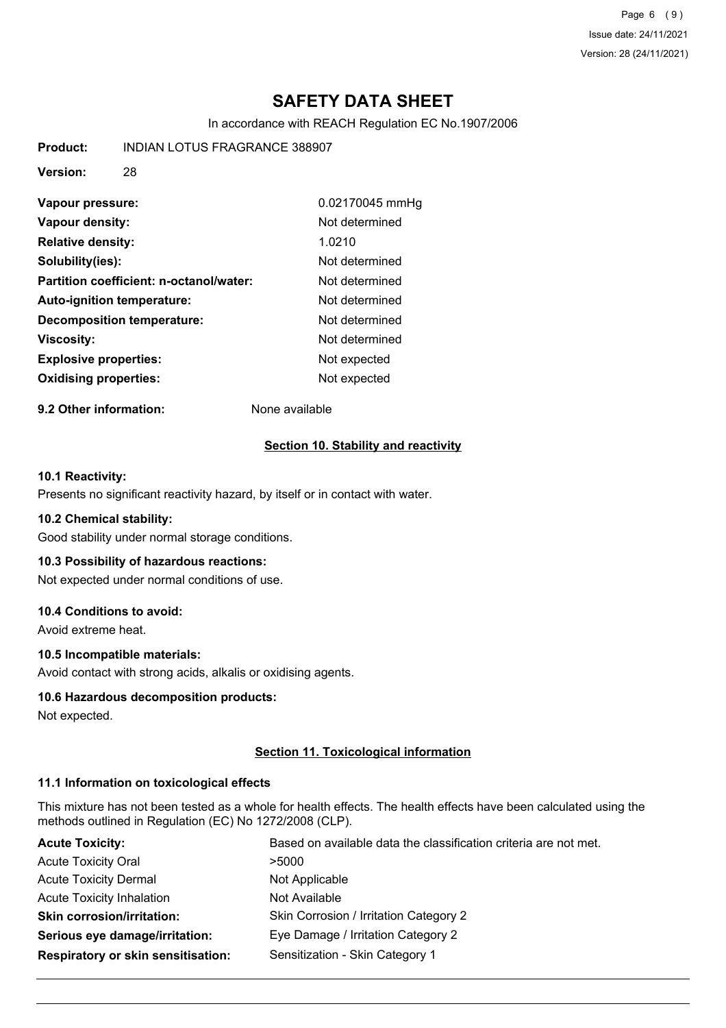Page 6 (9) Issue date: 24/11/2021 Version: 28 (24/11/2021)

# **SAFETY DATA SHEET**

In accordance with REACH Regulation EC No.1907/2006

**Product:** INDIAN LOTUS FRAGRANCE 388907

**Version:** 28

| Vapour pressure:                        | 0.02170045 mmHg |
|-----------------------------------------|-----------------|
| Vapour density:                         | Not determined  |
| <b>Relative density:</b>                | 1.0210          |
| Solubility(ies):                        | Not determined  |
| Partition coefficient: n-octanol/water: | Not determined  |
| <b>Auto-ignition temperature:</b>       | Not determined  |
| <b>Decomposition temperature:</b>       | Not determined  |
| <b>Viscosity:</b>                       | Not determined  |
| <b>Explosive properties:</b>            | Not expected    |
| <b>Oxidising properties:</b>            | Not expected    |

**9.2 Other information:** None available

### **Section 10. Stability and reactivity**

### **10.1 Reactivity:**

Presents no significant reactivity hazard, by itself or in contact with water.

#### **10.2 Chemical stability:**

Good stability under normal storage conditions.

### **10.3 Possibility of hazardous reactions:**

Not expected under normal conditions of use.

## **10.4 Conditions to avoid:**

Avoid extreme heat.

### **10.5 Incompatible materials:**

Avoid contact with strong acids, alkalis or oxidising agents.

### **10.6 Hazardous decomposition products:**

Not expected.

### **Section 11. Toxicological information**

### **11.1 Information on toxicological effects**

This mixture has not been tested as a whole for health effects. The health effects have been calculated using the methods outlined in Regulation (EC) No 1272/2008 (CLP).

| <b>Acute Toxicity:</b>             | Based on available data the classification criteria are not met. |  |  |
|------------------------------------|------------------------------------------------------------------|--|--|
| <b>Acute Toxicity Oral</b>         | >5000                                                            |  |  |
| <b>Acute Toxicity Dermal</b>       | Not Applicable                                                   |  |  |
| <b>Acute Toxicity Inhalation</b>   | Not Available                                                    |  |  |
| <b>Skin corrosion/irritation:</b>  | Skin Corrosion / Irritation Category 2                           |  |  |
| Serious eye damage/irritation:     | Eye Damage / Irritation Category 2                               |  |  |
| Respiratory or skin sensitisation: | Sensitization - Skin Category 1                                  |  |  |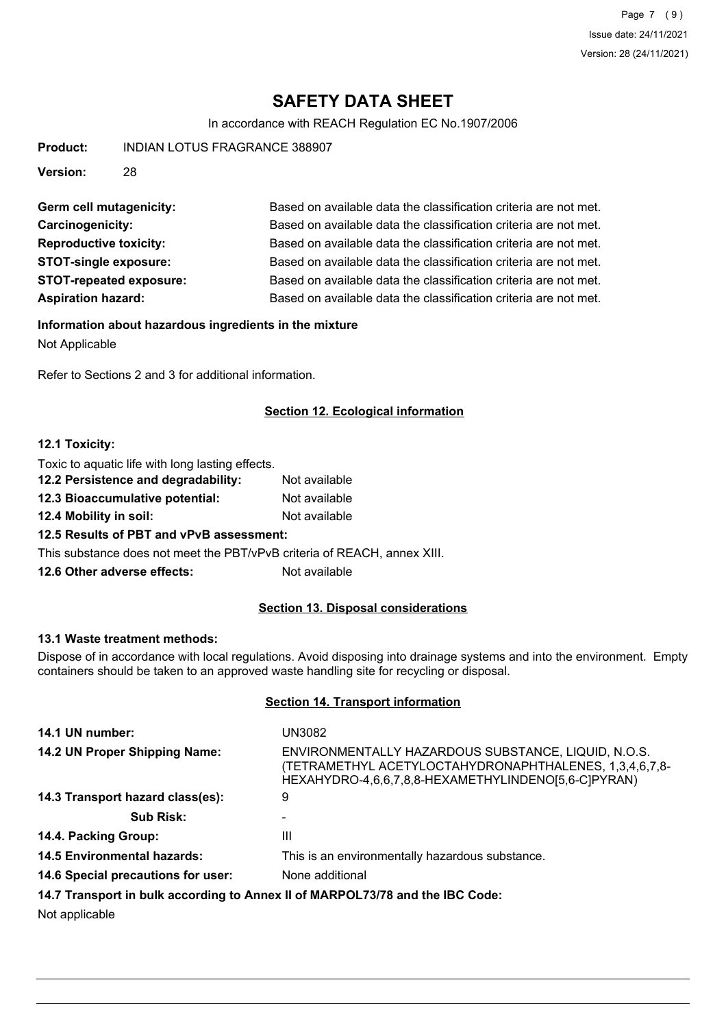# **SAFETY DATA SHEET**

In accordance with REACH Regulation EC No.1907/2006

**Product:** INDIAN LOTUS FRAGRANCE 388907

**Version:** 28

| Germ cell mutagenicity:        | Based on available data the classification criteria are not met. |
|--------------------------------|------------------------------------------------------------------|
| Carcinogenicity:               | Based on available data the classification criteria are not met. |
| <b>Reproductive toxicity:</b>  | Based on available data the classification criteria are not met. |
| <b>STOT-single exposure:</b>   | Based on available data the classification criteria are not met. |
| <b>STOT-repeated exposure:</b> | Based on available data the classification criteria are not met. |
| <b>Aspiration hazard:</b>      | Based on available data the classification criteria are not met. |

#### **Information about hazardous ingredients in the mixture**

Not Applicable

Refer to Sections 2 and 3 for additional information.

## **Section 12. Ecological information**

#### **12.1 Toxicity:**

Toxic to aquatic life with long lasting effects.

| 12.2 Persistence and degradability:                                      | Not available |
|--------------------------------------------------------------------------|---------------|
| 12.3 Bioaccumulative potential:                                          | Not available |
| 12.4 Mobility in soil:                                                   | Not available |
| 12.5 Results of PBT and vPvB assessment:                                 |               |
| This substance does not meet the PBT/vPvB criteria of REACH, annex XIII. |               |
| 12.6 Other adverse effects:                                              | Not available |
|                                                                          |               |

## **Section 13. Disposal considerations**

#### **13.1 Waste treatment methods:**

Dispose of in accordance with local regulations. Avoid disposing into drainage systems and into the environment. Empty containers should be taken to an approved waste handling site for recycling or disposal.

#### **Section 14. Transport information**

| 14.1 UN number:                    | UN3082                                                                                                                                                                        |
|------------------------------------|-------------------------------------------------------------------------------------------------------------------------------------------------------------------------------|
| 14.2 UN Proper Shipping Name:      | ENVIRONMENTALLY HAZARDOUS SUBSTANCE, LIQUID, N.O.S.<br>-3,4,6,7,8 (TETRAMETHYL ACETYLOCTAHYDRONAPHTHALENES, 1,3,4,6,7,<br>HEXAHYDRO-4,6,6,7,8,8-HEXAMETHYLINDENO[5,6-C]PYRAN) |
| 14.3 Transport hazard class(es):   | 9                                                                                                                                                                             |
| <b>Sub Risk:</b>                   |                                                                                                                                                                               |
| 14.4. Packing Group:               | Ш                                                                                                                                                                             |
| <b>14.5 Environmental hazards:</b> | This is an environmentally hazardous substance.                                                                                                                               |
| 14.6 Special precautions for user: | None additional                                                                                                                                                               |
|                                    | 14.7 Transport in bulk according to Annex II of MARPOL73/78 and the IBC Code:                                                                                                 |
| Not opplicable                     |                                                                                                                                                                               |

Not applicable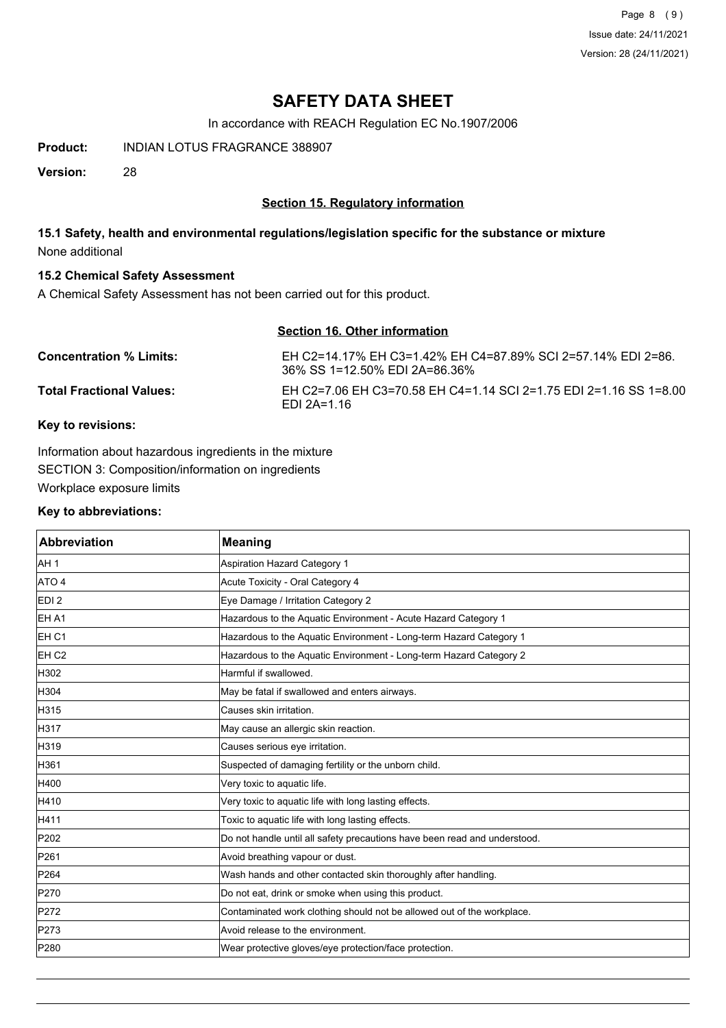Page 8 (9) Issue date: 24/11/2021 Version: 28 (24/11/2021)

## **SAFETY DATA SHEET**

In accordance with REACH Regulation EC No.1907/2006

**Product:** INDIAN LOTUS FRAGRANCE 388907

**Version:** 28

## **Section 15. Regulatory information**

## **15.1 Safety, health and environmental regulations/legislation specific for the substance or mixture** None additional

## **15.2 Chemical Safety Assessment**

A Chemical Safety Assessment has not been carried out for this product.

## **Section 16. Other information**

| <b>Concentration % Limits:</b>  | EH C2=14.17% EH C3=1.42% EH C4=87.89% SCI 2=57.14% EDI 2=86.<br>36% SS 1=12.50% EDI 2A=86.36% |
|---------------------------------|-----------------------------------------------------------------------------------------------|
| <b>Total Fractional Values:</b> | EH C2=7.06 EH C3=70.58 EH C4=1.14 SCI 2=1.75 EDI 2=1.16 SS 1=8.00<br>EDI 2A=1.16              |

## **Key to revisions:**

Information about hazardous ingredients in the mixture SECTION 3: Composition/information on ingredients Workplace exposure limits

### **Key to abbreviations:**

| <b>Abbreviation</b> | <b>Meaning</b>                                                            |
|---------------------|---------------------------------------------------------------------------|
| AH <sub>1</sub>     | <b>Aspiration Hazard Category 1</b>                                       |
| ATO 4               | Acute Toxicity - Oral Category 4                                          |
| EDI <sub>2</sub>    | Eye Damage / Irritation Category 2                                        |
| EH A1               | Hazardous to the Aquatic Environment - Acute Hazard Category 1            |
| EH <sub>C1</sub>    | Hazardous to the Aquatic Environment - Long-term Hazard Category 1        |
| EH <sub>C2</sub>    | Hazardous to the Aquatic Environment - Long-term Hazard Category 2        |
| H302                | Harmful if swallowed.                                                     |
| H304                | May be fatal if swallowed and enters airways.                             |
| H315                | Causes skin irritation.                                                   |
| H317                | May cause an allergic skin reaction.                                      |
| H319                | Causes serious eye irritation.                                            |
| H361                | Suspected of damaging fertility or the unborn child.                      |
| H400                | Very toxic to aquatic life.                                               |
| H410                | Very toxic to aquatic life with long lasting effects.                     |
| H411                | Toxic to aquatic life with long lasting effects.                          |
| P202                | Do not handle until all safety precautions have been read and understood. |
| P261                | Avoid breathing vapour or dust.                                           |
| P264                | Wash hands and other contacted skin thoroughly after handling.            |
| P270                | Do not eat, drink or smoke when using this product.                       |
| P272                | Contaminated work clothing should not be allowed out of the workplace.    |
| P273                | Avoid release to the environment.                                         |
| P280                | Wear protective gloves/eye protection/face protection.                    |